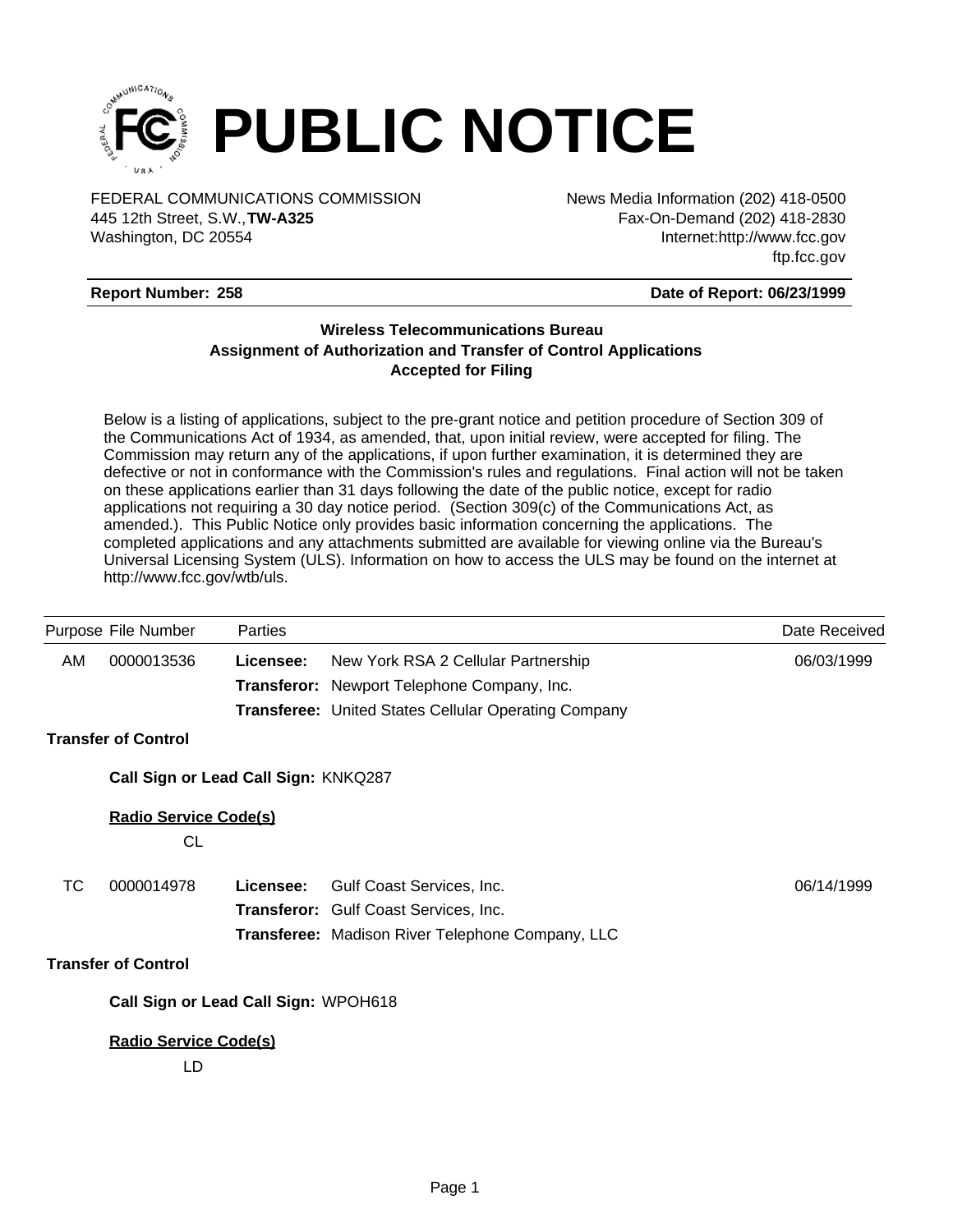

FEDERAL COMMUNICATIONS COMMISSION News Media Information (202) 418-0500 Washington, DC 20554 445 12th Street, S.W.,**TW-A325**

Fax-On-Demand (202) 418-2830 Internet:http://www.fcc.gov ftp.fcc.gov

## **Report Number: 258**

### **Date of Report: 06/23/1999**

## **Wireless Telecommunications Bureau Assignment of Authorization and Transfer of Control Applications Accepted for Filing**

Below is a listing of applications, subject to the pre-grant notice and petition procedure of Section 309 of the Communications Act of 1934, as amended, that, upon initial review, were accepted for filing. The Commission may return any of the applications, if upon further examination, it is determined they are defective or not in conformance with the Commission's rules and regulations. Final action will not be taken on these applications earlier than 31 days following the date of the public notice, except for radio applications not requiring a 30 day notice period. (Section 309(c) of the Communications Act, as amended.). This Public Notice only provides basic information concerning the applications. The completed applications and any attachments submitted are available for viewing online via the Bureau's Universal Licensing System (ULS). Information on how to access the ULS may be found on the internet at http://www.fcc.gov/wtb/uls.

|           | Purpose File Number                       | Parties                              |                                                             | Date Received |
|-----------|-------------------------------------------|--------------------------------------|-------------------------------------------------------------|---------------|
| AM        | 0000013536                                | Licensee:                            | New York RSA 2 Cellular Partnership                         | 06/03/1999    |
|           |                                           |                                      | Transferor: Newport Telephone Company, Inc.                 |               |
|           |                                           |                                      | <b>Transferee: United States Cellular Operating Company</b> |               |
|           | <b>Transfer of Control</b>                |                                      |                                                             |               |
|           |                                           | Call Sign or Lead Call Sign: KNKQ287 |                                                             |               |
|           | <b>Radio Service Code(s)</b><br><b>CL</b> |                                      |                                                             |               |
| <b>TC</b> | 0000014978                                | Licensee:                            | Gulf Coast Services, Inc.                                   | 06/14/1999    |
|           |                                           |                                      | Transferor: Gulf Coast Services, Inc.                       |               |
|           |                                           |                                      | Transferee: Madison River Telephone Company, LLC            |               |
|           | <b>Transfer of Control</b>                |                                      |                                                             |               |
|           |                                           | Call Sign or Lead Call Sign: WPOH618 |                                                             |               |
|           | <b>Radio Service Code(s)</b>              |                                      |                                                             |               |
|           | LD                                        |                                      |                                                             |               |
|           |                                           |                                      |                                                             |               |
|           |                                           |                                      |                                                             |               |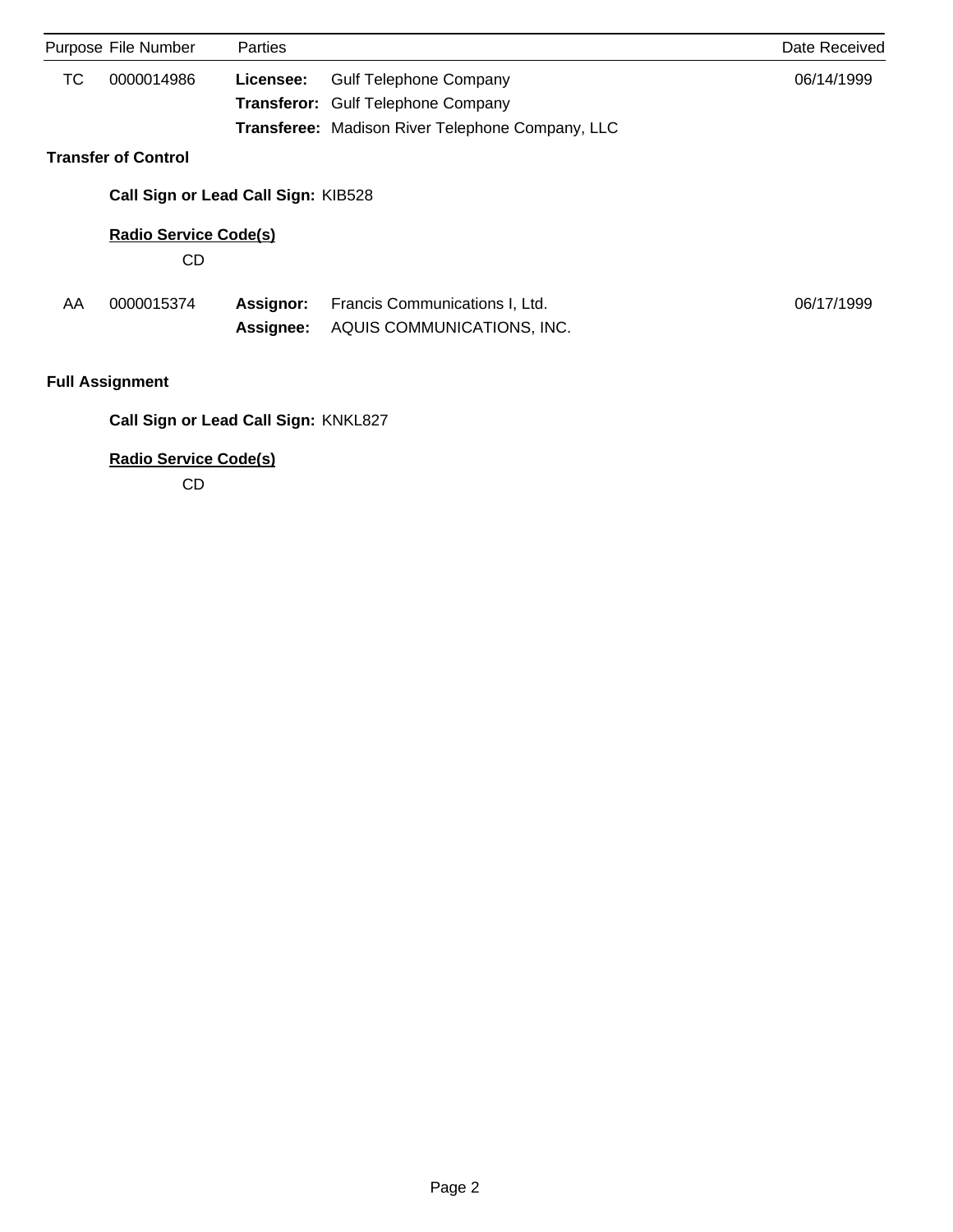|    | Purpose File Number                  | Parties          |                                                         | Date Received |  |  |  |
|----|--------------------------------------|------------------|---------------------------------------------------------|---------------|--|--|--|
| ТC | 0000014986                           | Licensee:        | <b>Gulf Telephone Company</b>                           | 06/14/1999    |  |  |  |
|    |                                      |                  | <b>Transferor:</b> Gulf Telephone Company               |               |  |  |  |
|    |                                      |                  | <b>Transferee:</b> Madison River Telephone Company, LLC |               |  |  |  |
|    | <b>Transfer of Control</b>           |                  |                                                         |               |  |  |  |
|    | Call Sign or Lead Call Sign: KIB528  |                  |                                                         |               |  |  |  |
|    | <b>Radio Service Code(s)</b>         |                  |                                                         |               |  |  |  |
|    | CD                                   |                  |                                                         |               |  |  |  |
| AA | 0000015374                           | <b>Assignor:</b> | Francis Communications I, Ltd.                          | 06/17/1999    |  |  |  |
|    |                                      | <b>Assignee:</b> | AQUIS COMMUNICATIONS, INC.                              |               |  |  |  |
|    | <b>Full Assignment</b>               |                  |                                                         |               |  |  |  |
|    | Call Sign or Lead Call Sign: KNKL827 |                  |                                                         |               |  |  |  |

**Radio Service Code(s)**

CD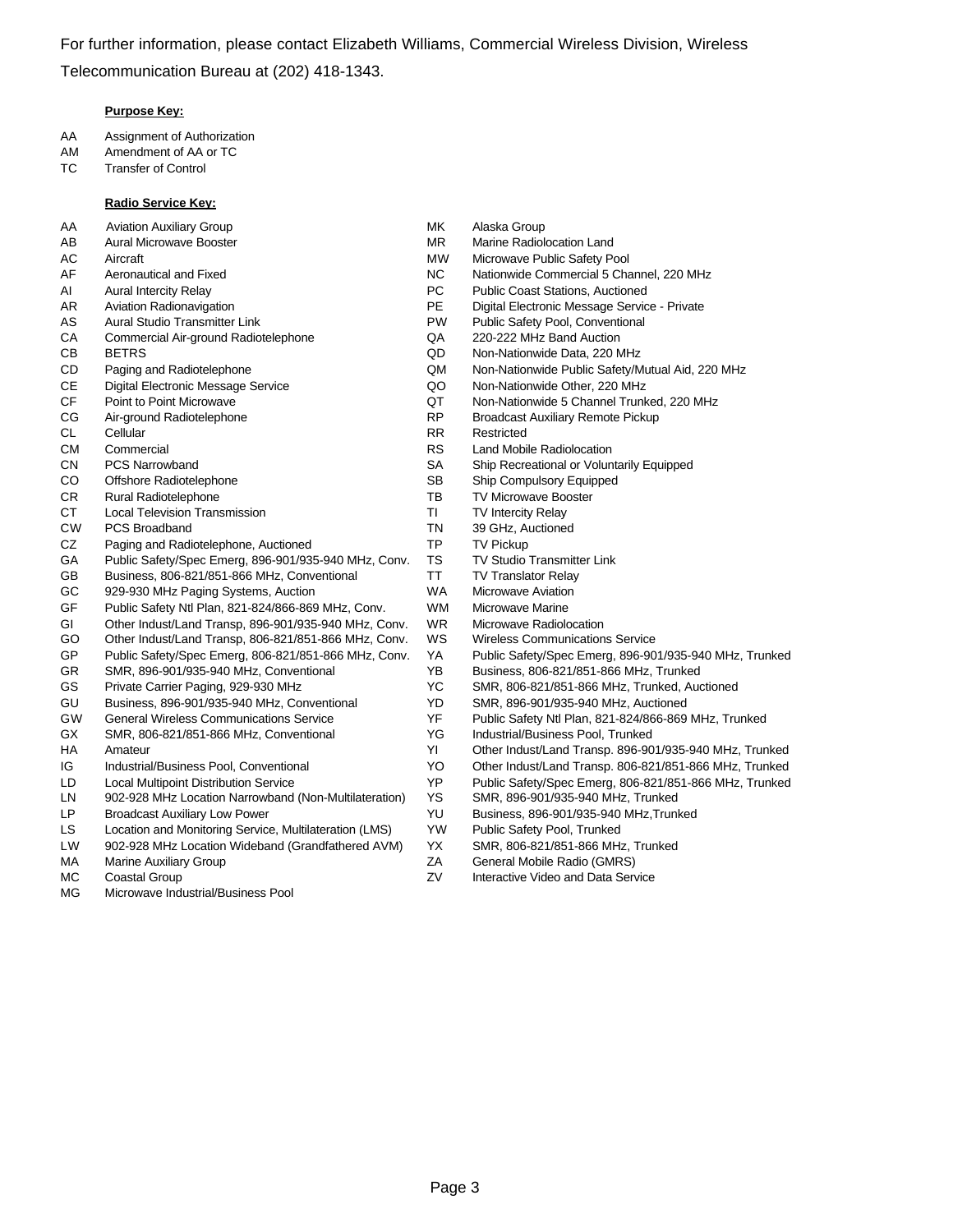### **Purpose Key:**

- AA Assignment of Authorization
- AM Amendment of AA or TC
- TC Transfer of Control

#### **Radio Service Key:**

- AA Aviation Auxiliary Group **MK** Alaska Group
- 
- 
- 
- 
- 
- CA Commercial Air-ground Radiotelephone QA 220-222 MHz Band Auction
- 
- 
- 
- 
- 
- 
- 
- 
- 
- 
- CT Local Television Transmission Transmission Turry TI TV Intercity Relay
- CW PCS Broadband TN 39 GHz, Auctioned
- CZ Paging and Radiotelephone, Auctioned TP TV Pickup
- GA Public Safety/Spec Emerg, 896-901/935-940 MHz, Conv. TS TV Studio Transmitter Link
- GB Business, 806-821/851-866 MHz, Conventional TT TV Translator Relay
- GC 929-930 MHz Paging Systems, Auction Nation WA Microwave Aviation
- GF Public Safety Ntl Plan, 821-824/866-869 MHz, Conv. WM Microwave Marine
- GI Other Indust/Land Transp, 896-901/935-940 MHz, Conv. WR Microwave Radiolocation
- GO Other Indust/Land Transp, 806-821/851-866 MHz, Conv. WS Wireless Communications Service
- GP Public Safety/Spec Emerg, 806-821/851-866 MHz, Conv. YA Public Safety/Spec Emerg, 896-901/935-940 MHz, Trunked
- GR SMR, 896-901/935-940 MHz, Conventional YB Business, 806-821/851-866 MHz, Trunked
- 
- GU Business, 896-901/935-940 MHz, Conventional YD SMR, 896-901/935-940 MHz, Auctioned
- 
- GX SMR, 806-821/851-866 MHz, Conventional YG Industrial/Business Pool, Trunked
- 
- 
- 
- LN 902-928 MHz Location Narrowband (Non-Multilateration) YS SMR, 896-901/935-940 MHz, Trunked
- LP Broadcast Auxiliary Low Power YU Business, 896-901/935-940 MHz,Trunked
- LS Location and Monitoring Service, Multilateration (LMS) YW Public Safety Pool, Trunked
- LW 902-928 MHz Location Wideband (Grandfathered AVM) YX SMR, 806-821/851-866 MHz, Trunked
- 
- 
- MG Microwave Industrial/Business Pool
- 
- AB Aural Microwave Booster **MR** Marine Radiolocation Land
- AC Aircraft MW Microwave Public Safety Pool
- AF Aeronautical and Fixed NC Nationwide Commercial 5 Channel, 220 MHz
- AI Aural Intercity Relay **PC** Public Coast Stations, Auctioned
- AR Aviation Radionavigation **PE** Digital Electronic Message Service Private
- AS Aural Studio Transmitter Link **PW** Public Safety Pool, Conventional
	-
- CB BETRS QD Non-Nationwide Data, 220 MHz
- CD Paging and Radiotelephone QM Non-Nationwide Public Safety/Mutual Aid, 220 MHz
- CE Digital Electronic Message Service QO Non-Nationwide Other, 220 MHz
- CF Point to Point Microwave QT Non-Nationwide 5 Channel Trunked, 220 MHz
- CG Air-ground Radiotelephone **RP** Broadcast Auxiliary Remote Pickup
- CL Cellular **RR** Restricted
- CM Commercial CM Commercial CM Commercial CM Commercial CM RS Land Mobile Radiolocation
- CN PCS Narrowband CN SA Ship Recreational or Voluntarily Equipped
- CO Offshore Radiotelephone SB Ship Compulsory Equipped
- CR Rural Radiotelephone TB TV Microwave Booster
	-
	-
	-
	-
	-
	-
	-
	-
	-
	-
	-
- GS Private Carrier Paging, 929-930 MHz YC SMR, 806-821/851-866 MHz, Trunked, Auctioned
	-
- GW General Wireless Communications Service YF Public Safety Ntl Plan, 821-824/866-869 MHz, Trunked
	-
- HA Amateur YI Other Indust/Land Transp. 896-901/935-940 MHz, Trunked
- IG Industrial/Business Pool, Conventional YO Other Indust/Land Transp. 806-821/851-866 MHz, Trunked
- LD Local Multipoint Distribution Service YP Public Safety/Spec Emerg, 806-821/851-866 MHz, Trunked
	-
	-
	-
	-
- MA Marine Auxiliary Group **Marine Auxiliary Group ZA General Mobile Radio (GMRS)**
- MC Coastal Group Contractive Video and Data Service